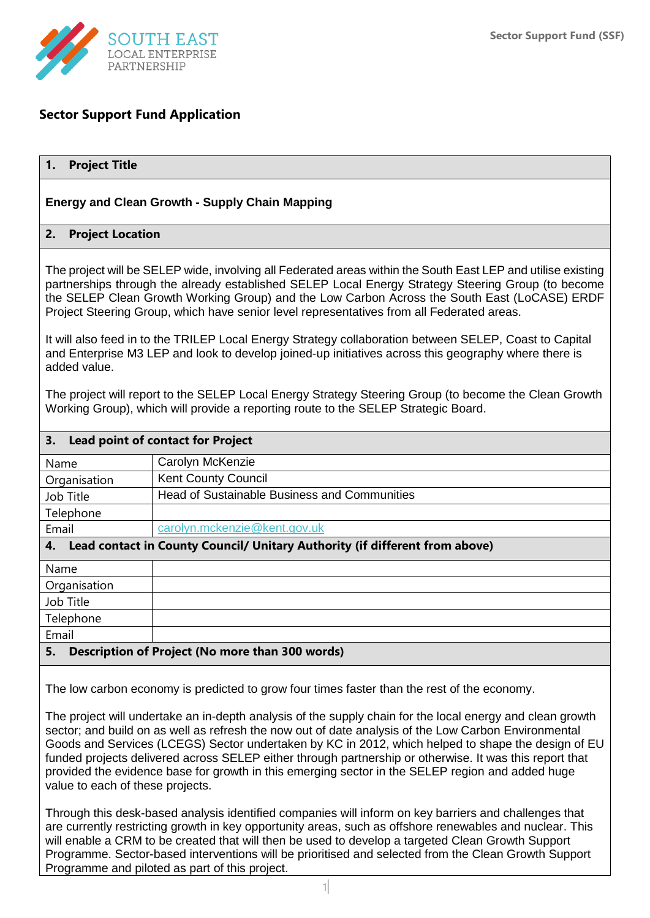

## **Sector Support Fund Application**

#### **1. Project Title**

#### **Energy and Clean Growth - Supply Chain Mapping**

#### **2. Project Location**

The project will be SELEP wide, involving all Federated areas within the South East LEP and utilise existing partnerships through the already established SELEP Local Energy Strategy Steering Group (to become the SELEP Clean Growth Working Group) and the Low Carbon Across the South East (LoCASE) ERDF Project Steering Group, which have senior level representatives from all Federated areas.

It will also feed in to the TRILEP Local Energy Strategy collaboration between SELEP, Coast to Capital and Enterprise M3 LEP and look to develop joined-up initiatives across this geography where there is added value.

The project will report to the SELEP Local Energy Strategy Steering Group (to become the Clean Growth Working Group), which will provide a reporting route to the SELEP Strategic Board.

| 3.<br><b>Lead point of contact for Project</b>                                    |                                                     |  |
|-----------------------------------------------------------------------------------|-----------------------------------------------------|--|
| Name                                                                              | Carolyn McKenzie                                    |  |
| Organisation                                                                      | <b>Kent County Council</b>                          |  |
| Job Title                                                                         | <b>Head of Sustainable Business and Communities</b> |  |
| Telephone                                                                         |                                                     |  |
| Email                                                                             | carolyn.mckenzie@kent.gov.uk                        |  |
| Lead contact in County Council/ Unitary Authority (if different from above)<br>4. |                                                     |  |
| Name                                                                              |                                                     |  |
| Organisation                                                                      |                                                     |  |
| Job Title                                                                         |                                                     |  |
| Telephone                                                                         |                                                     |  |
| Email                                                                             |                                                     |  |
| 5.<br>Description of Project (No more than 300 words)                             |                                                     |  |

The low carbon economy is predicted to grow four times faster than the rest of the economy.

The project will undertake an in-depth analysis of the supply chain for the local energy and clean growth sector; and build on as well as refresh the now out of date analysis of the Low Carbon Environmental Goods and Services (LCEGS) Sector undertaken by KC in 2012, which helped to shape the design of EU funded projects delivered across SELEP either through partnership or otherwise. It was this report that provided the evidence base for growth in this emerging sector in the SELEP region and added huge value to each of these projects.

Through this desk-based analysis identified companies will inform on key barriers and challenges that are currently restricting growth in key opportunity areas, such as offshore renewables and nuclear. This will enable a CRM to be created that will then be used to develop a targeted Clean Growth Support Programme. Sector-based interventions will be prioritised and selected from the Clean Growth Support Programme and piloted as part of this project.

1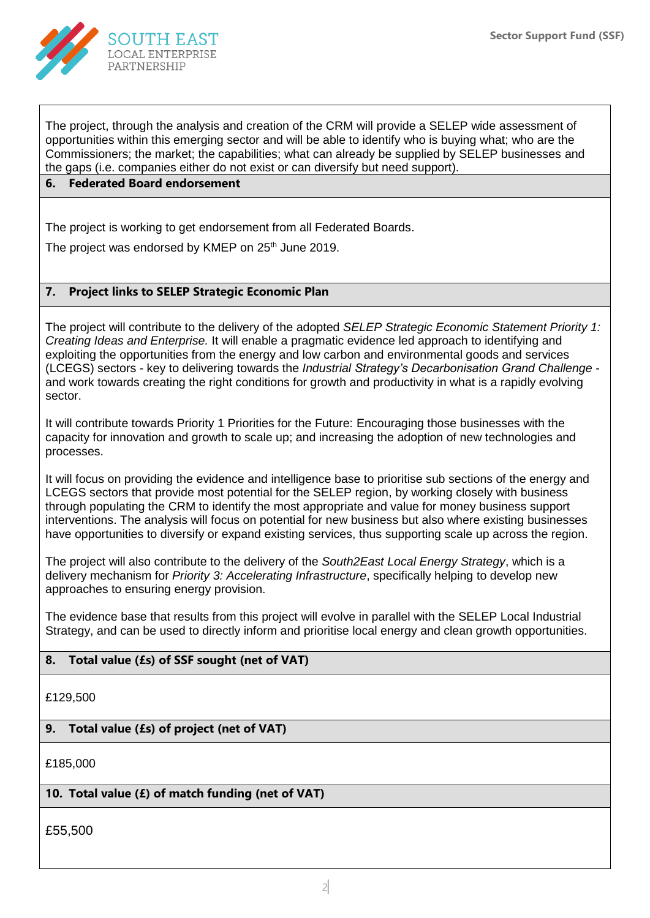

The project, through the analysis and creation of the CRM will provide a SELEP wide assessment of opportunities within this emerging sector and will be able to identify who is buying what; who are the Commissioners; the market; the capabilities; what can already be supplied by SELEP businesses and the gaps (i.e. companies either do not exist or can diversify but need support).

## **6. Federated Board endorsement**

The project is working to get endorsement from all Federated Boards.

The project was endorsed by KMEP on 25<sup>th</sup> June 2019.

### **7. Project links to SELEP Strategic Economic Plan**

The project will contribute to the delivery of the adopted *SELEP Strategic Economic Statement Priority 1: Creating Ideas and Enterprise.* It will enable a pragmatic evidence led approach to identifying and exploiting the opportunities from the energy and low carbon and environmental goods and services (LCEGS) sectors - key to delivering towards the *Industrial Strategy's Decarbonisation Grand Challenge* and work towards creating the right conditions for growth and productivity in what is a rapidly evolving sector.

It will contribute towards Priority 1 Priorities for the Future: Encouraging those businesses with the capacity for innovation and growth to scale up; and increasing the adoption of new technologies and processes.

It will focus on providing the evidence and intelligence base to prioritise sub sections of the energy and LCEGS sectors that provide most potential for the SELEP region, by working closely with business through populating the CRM to identify the most appropriate and value for money business support interventions. The analysis will focus on potential for new business but also where existing businesses have opportunities to diversify or expand existing services, thus supporting scale up across the region.

The project will also contribute to the delivery of the *South2East Local Energy Strategy*, which is a delivery mechanism for *Priority 3: Accelerating Infrastructure*, specifically helping to develop new approaches to ensuring energy provision.

The evidence base that results from this project will evolve in parallel with the SELEP Local Industrial Strategy, and can be used to directly inform and prioritise local energy and clean growth opportunities.

### **8. Total value (£s) of SSF sought (net of VAT)**

£129,500

### **9. Total value (£s) of project (net of VAT)**

£185,000

### **10. Total value (£) of match funding (net of VAT)**

£55,500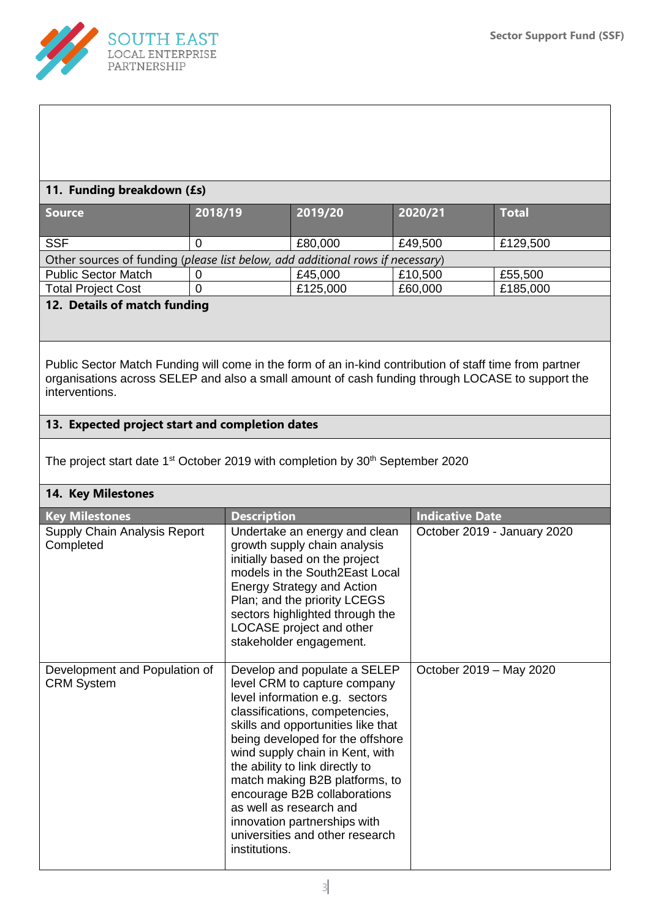

### **11. Funding breakdown (£s)**

| <b>Source</b>                                                                  | 2018/19 | 2019/20  | 2020/21 | <b>Total</b> |  |
|--------------------------------------------------------------------------------|---------|----------|---------|--------------|--|
| <b>SSF</b>                                                                     |         | £80,000  | £49,500 | £129,500     |  |
| Other sources of funding (please list below, add additional rows if necessary) |         |          |         |              |  |
| <b>Public Sector Match</b>                                                     |         | £45,000  | £10,500 | £55,500      |  |
| <b>Total Project Cost</b>                                                      |         | £125,000 | £60,000 | £185,000     |  |
| 12. Betails of motols from dinner                                              |         |          |         |              |  |

## **12. Details of match funding**

Public Sector Match Funding will come in the form of an in-kind contribution of staff time from partner organisations across SELEP and also a small amount of cash funding through LOCASE to support the interventions.

## **13. Expected project start and completion dates**

The project start date 1<sup>st</sup> October 2019 with completion by 30<sup>th</sup> September 2020

#### **14. Key Milestones**

| <b>Key Milestones</b>                              | <b>Description</b>                                                                                                                                                                                                                                                                                                                                                                                                                                                | <b>Indicative Date</b>      |
|----------------------------------------------------|-------------------------------------------------------------------------------------------------------------------------------------------------------------------------------------------------------------------------------------------------------------------------------------------------------------------------------------------------------------------------------------------------------------------------------------------------------------------|-----------------------------|
| Supply Chain Analysis Report<br>Completed          | Undertake an energy and clean<br>growth supply chain analysis<br>initially based on the project<br>models in the South2East Local<br><b>Energy Strategy and Action</b><br>Plan; and the priority LCEGS<br>sectors highlighted through the<br>LOCASE project and other<br>stakeholder engagement.                                                                                                                                                                  | October 2019 - January 2020 |
| Development and Population of<br><b>CRM System</b> | Develop and populate a SELEP<br>level CRM to capture company<br>level information e.g. sectors<br>classifications, competencies,<br>skills and opportunities like that<br>being developed for the offshore<br>wind supply chain in Kent, with<br>the ability to link directly to<br>match making B2B platforms, to<br>encourage B2B collaborations<br>as well as research and<br>innovation partnerships with<br>universities and other research<br>institutions. | October 2019 - May 2020     |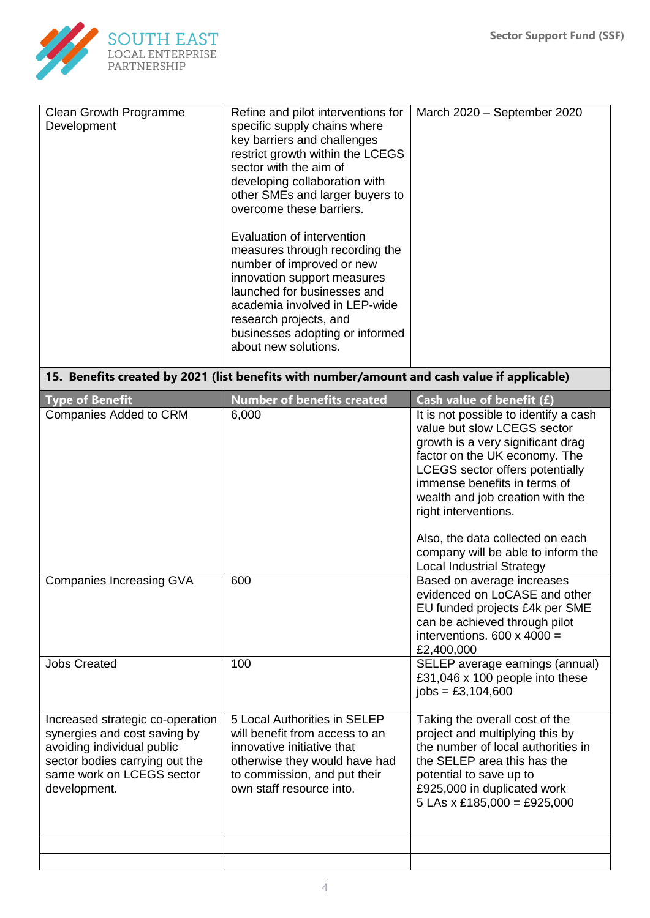

| Clean Growth Programme<br>Development                                                                                                                                         | Refine and pilot interventions for<br>specific supply chains where<br>key barriers and challenges<br>restrict growth within the LCEGS<br>sector with the aim of                                                                                                               | March 2020 - September 2020                                                                                                                                                                                                                                                                                                                                                                                                                                                                                                                                   |  |  |  |  |  |
|-------------------------------------------------------------------------------------------------------------------------------------------------------------------------------|-------------------------------------------------------------------------------------------------------------------------------------------------------------------------------------------------------------------------------------------------------------------------------|---------------------------------------------------------------------------------------------------------------------------------------------------------------------------------------------------------------------------------------------------------------------------------------------------------------------------------------------------------------------------------------------------------------------------------------------------------------------------------------------------------------------------------------------------------------|--|--|--|--|--|
|                                                                                                                                                                               | developing collaboration with<br>other SMEs and larger buyers to<br>overcome these barriers.                                                                                                                                                                                  |                                                                                                                                                                                                                                                                                                                                                                                                                                                                                                                                                               |  |  |  |  |  |
|                                                                                                                                                                               | Evaluation of intervention<br>measures through recording the<br>number of improved or new<br>innovation support measures<br>launched for businesses and<br>academia involved in LEP-wide<br>research projects, and<br>businesses adopting or informed<br>about new solutions. |                                                                                                                                                                                                                                                                                                                                                                                                                                                                                                                                                               |  |  |  |  |  |
| 15. Benefits created by 2021 (list benefits with number/amount and cash value if applicable)                                                                                  |                                                                                                                                                                                                                                                                               |                                                                                                                                                                                                                                                                                                                                                                                                                                                                                                                                                               |  |  |  |  |  |
| <b>Type of Benefit</b><br><b>Companies Added to CRM</b><br><b>Companies Increasing GVA</b>                                                                                    | <b>Number of benefits created</b><br>6,000<br>600                                                                                                                                                                                                                             | Cash value of benefit (£)<br>It is not possible to identify a cash<br>value but slow LCEGS sector<br>growth is a very significant drag<br>factor on the UK economy. The<br><b>LCEGS</b> sector offers potentially<br>immense benefits in terms of<br>wealth and job creation with the<br>right interventions.<br>Also, the data collected on each<br>company will be able to inform the<br><b>Local Industrial Strategy</b><br>Based on average increases<br>evidenced on LoCASE and other<br>EU funded projects £4k per SME<br>can be achieved through pilot |  |  |  |  |  |
| <b>Jobs Created</b>                                                                                                                                                           | 100                                                                                                                                                                                                                                                                           | interventions. $600 \times 4000 =$<br>£2,400,000<br>SELEP average earnings (annual)                                                                                                                                                                                                                                                                                                                                                                                                                                                                           |  |  |  |  |  |
|                                                                                                                                                                               |                                                                                                                                                                                                                                                                               | £31,046 x 100 people into these<br>$iobs = £3,104,600$                                                                                                                                                                                                                                                                                                                                                                                                                                                                                                        |  |  |  |  |  |
| Increased strategic co-operation<br>synergies and cost saving by<br>avoiding individual public<br>sector bodies carrying out the<br>same work on LCEGS sector<br>development. | 5 Local Authorities in SELEP<br>will benefit from access to an<br>innovative initiative that<br>otherwise they would have had<br>to commission, and put their<br>own staff resource into.                                                                                     | Taking the overall cost of the<br>project and multiplying this by<br>the number of local authorities in<br>the SELEP area this has the<br>potential to save up to<br>£925,000 in duplicated work<br>$5$ LAs x £185,000 = £925,000                                                                                                                                                                                                                                                                                                                             |  |  |  |  |  |
|                                                                                                                                                                               |                                                                                                                                                                                                                                                                               |                                                                                                                                                                                                                                                                                                                                                                                                                                                                                                                                                               |  |  |  |  |  |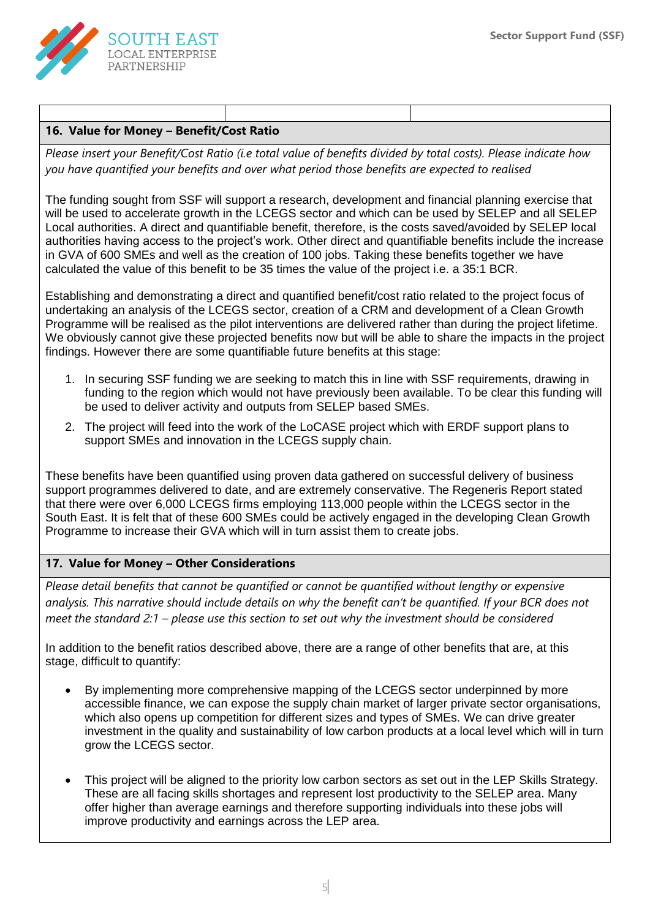

# **16. Value for Money – Benefit/Cost Ratio**

*Please insert your Benefit/Cost Ratio (i.e total value of benefits divided by total costs). Please indicate how you have quantified your benefits and over what period those benefits are expected to realised*

The funding sought from SSF will support a research, development and financial planning exercise that will be used to accelerate growth in the LCEGS sector and which can be used by SELEP and all SELEP Local authorities. A direct and quantifiable benefit, therefore, is the costs saved/avoided by SELEP local authorities having access to the project's work. Other direct and quantifiable benefits include the increase in GVA of 600 SMEs and well as the creation of 100 jobs. Taking these benefits together we have calculated the value of this benefit to be 35 times the value of the project i.e. a 35:1 BCR.

Establishing and demonstrating a direct and quantified benefit/cost ratio related to the project focus of undertaking an analysis of the LCEGS sector, creation of a CRM and development of a Clean Growth Programme will be realised as the pilot interventions are delivered rather than during the project lifetime. We obviously cannot give these projected benefits now but will be able to share the impacts in the project findings. However there are some quantifiable future benefits at this stage:

- 1. In securing SSF funding we are seeking to match this in line with SSF requirements, drawing in funding to the region which would not have previously been available. To be clear this funding will be used to deliver activity and outputs from SELEP based SMEs.
- 2. The project will feed into the work of the LoCASE project which with ERDF support plans to support SMEs and innovation in the LCEGS supply chain.

These benefits have been quantified using proven data gathered on successful delivery of business support programmes delivered to date, and are extremely conservative. The Regeneris Report stated that there were over 6,000 LCEGS firms employing 113,000 people within the LCEGS sector in the South East. It is felt that of these 600 SMEs could be actively engaged in the developing Clean Growth Programme to increase their GVA which will in turn assist them to create jobs.

### **17. Value for Money – Other Considerations**

*Please detail benefits that cannot be quantified or cannot be quantified without lengthy or expensive analysis. This narrative should include details on why the benefit can't be quantified. If your BCR does not meet the standard 2:1 – please use this section to set out why the investment should be considered*

In addition to the benefit ratios described above, there are a range of other benefits that are, at this stage, difficult to quantify:

- By implementing more comprehensive mapping of the LCEGS sector underpinned by more accessible finance, we can expose the supply chain market of larger private sector organisations, which also opens up competition for different sizes and types of SMEs. We can drive greater investment in the quality and sustainability of low carbon products at a local level which will in turn grow the LCEGS sector.
- This project will be aligned to the priority low carbon sectors as set out in the LEP Skills Strategy. These are all facing skills shortages and represent lost productivity to the SELEP area. Many offer higher than average earnings and therefore supporting individuals into these jobs will improve productivity and earnings across the LEP area.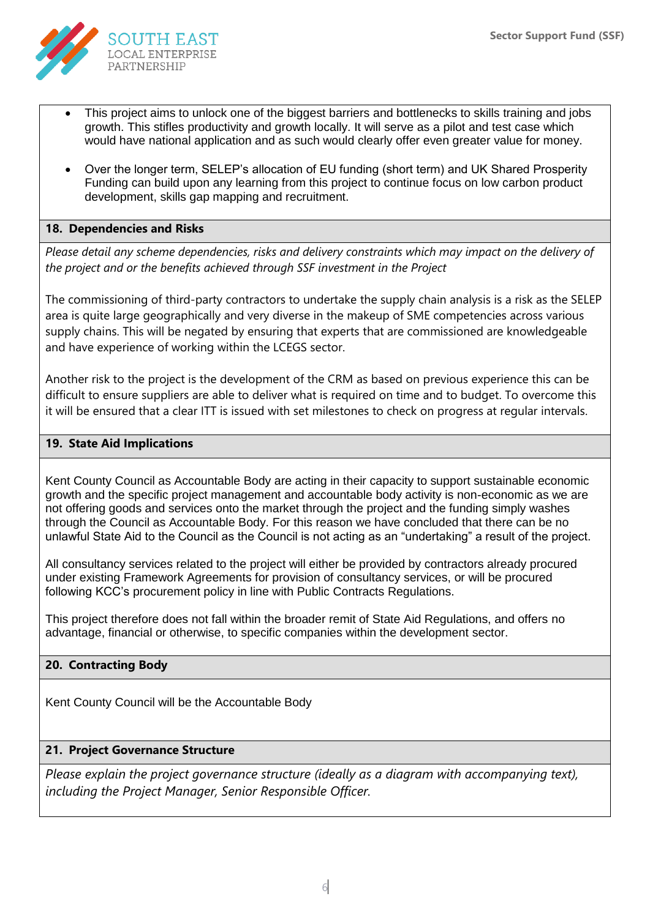

- This project aims to unlock one of the biggest barriers and bottlenecks to skills training and jobs growth. This stifles productivity and growth locally. It will serve as a pilot and test case which would have national application and as such would clearly offer even greater value for money.
- Over the longer term, SELEP's allocation of EU funding (short term) and UK Shared Prosperity Funding can build upon any learning from this project to continue focus on low carbon product development, skills gap mapping and recruitment.

### **18. Dependencies and Risks**

*Please detail any scheme dependencies, risks and delivery constraints which may impact on the delivery of the project and or the benefits achieved through SSF investment in the Project*

The commissioning of third-party contractors to undertake the supply chain analysis is a risk as the SELEP area is quite large geographically and very diverse in the makeup of SME competencies across various supply chains. This will be negated by ensuring that experts that are commissioned are knowledgeable and have experience of working within the LCEGS sector.

Another risk to the project is the development of the CRM as based on previous experience this can be difficult to ensure suppliers are able to deliver what is required on time and to budget. To overcome this it will be ensured that a clear ITT is issued with set milestones to check on progress at regular intervals.

### **19. State Aid Implications**

Kent County Council as Accountable Body are acting in their capacity to support sustainable economic growth and the specific project management and accountable body activity is non-economic as we are not offering goods and services onto the market through the project and the funding simply washes through the Council as Accountable Body. For this reason we have concluded that there can be no unlawful State Aid to the Council as the Council is not acting as an "undertaking" a result of the project.

All consultancy services related to the project will either be provided by contractors already procured under existing Framework Agreements for provision of consultancy services, or will be procured following KCC's procurement policy in line with Public Contracts Regulations.

This project therefore does not fall within the broader remit of State Aid Regulations, and offers no advantage, financial or otherwise, to specific companies within the development sector.

# **20. Contracting Body**

Kent County Council will be the Accountable Body

### **21. Project Governance Structure**

*Please explain the project governance structure (ideally as a diagram with accompanying text), including the Project Manager, Senior Responsible Officer.*